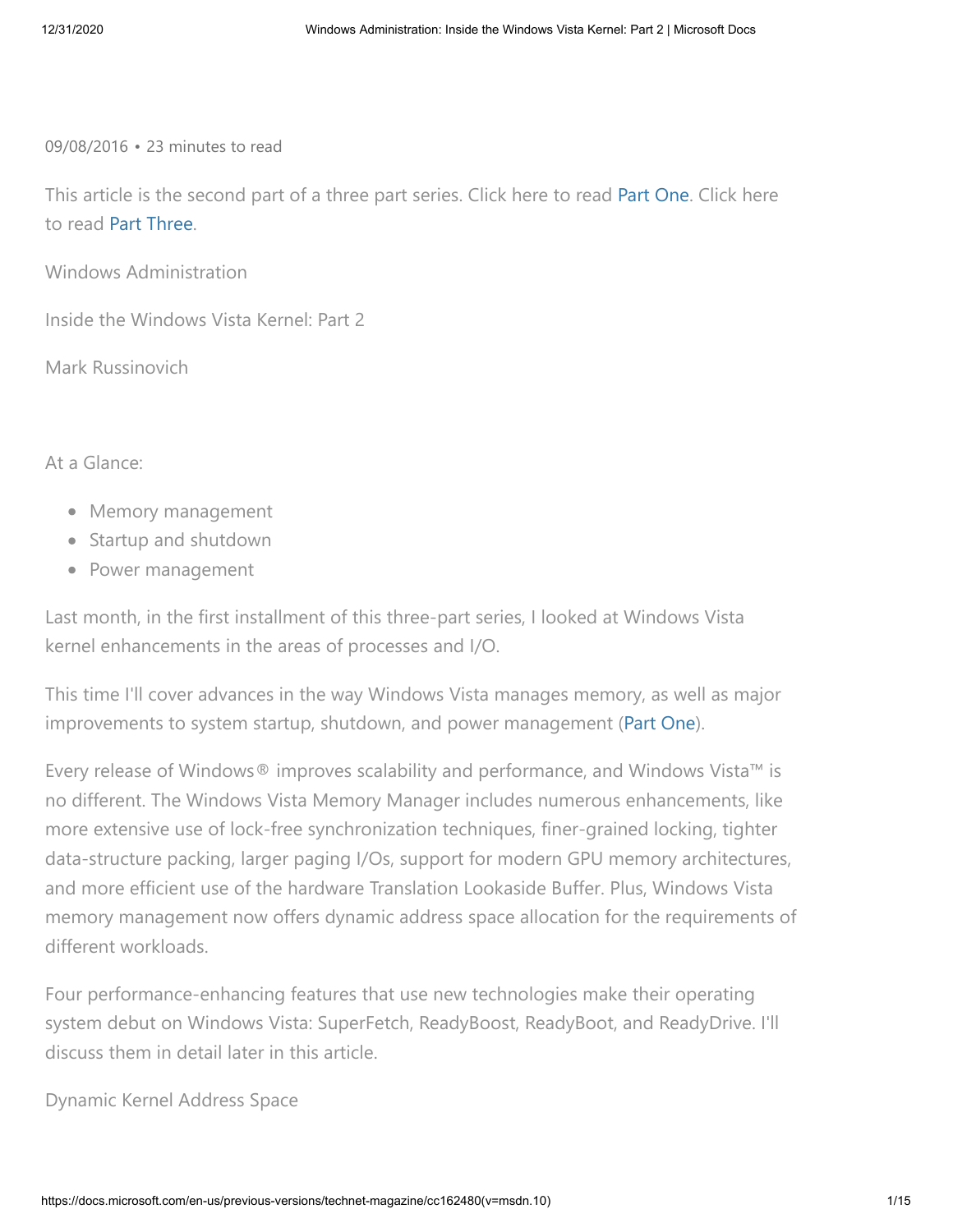09/08/2016 • 23 minutes to read

This article is the second part of a three part series. Click here to read [Part One](https://docs.microsoft.com/en-us/previous-versions/technet-magazine/cc162494(v=msdn.10)). Click here to read [Part Three](https://docs.microsoft.com/en-us/previous-versions/technet-magazine/cc162458(v=msdn.10)).

Windows Administration

Inside the Windows Vista Kernel: Part 2

Mark Russinovich

At a Glance:

- Memory management
- Startup and shutdown
- Power management

Last month, in the first installment of this three-part series, I looked at Windows Vista kernel enhancements in the areas of processes and I/O.

This time I'll cover advances in the way Windows Vista manages memory, as well as major improvements to system startup, shutdown, and power management ([Part One\)](https://docs.microsoft.com/en-us/previous-versions/technet-magazine/cc162494(v=msdn.10)).

Every release of Windows® improves scalability and performance, and Windows Vista™ is no different. The Windows Vista Memory Manager includes numerous enhancements, like more extensive use of lock-free synchronization techniques, finer-grained locking, tighter data-structure packing, larger paging I/Os, support for modern GPU memory architectures, and more efficient use of the hardware Translation Lookaside Buffer. Plus, Windows Vista memory management now offers dynamic address space allocation for the requirements of different workloads.

Four performance-enhancing features that use new technologies make their operating system debut on Windows Vista: SuperFetch, ReadyBoost, ReadyBoot, and ReadyDrive. I'll discuss them in detail later in this article.

Dynamic Kernel Address Space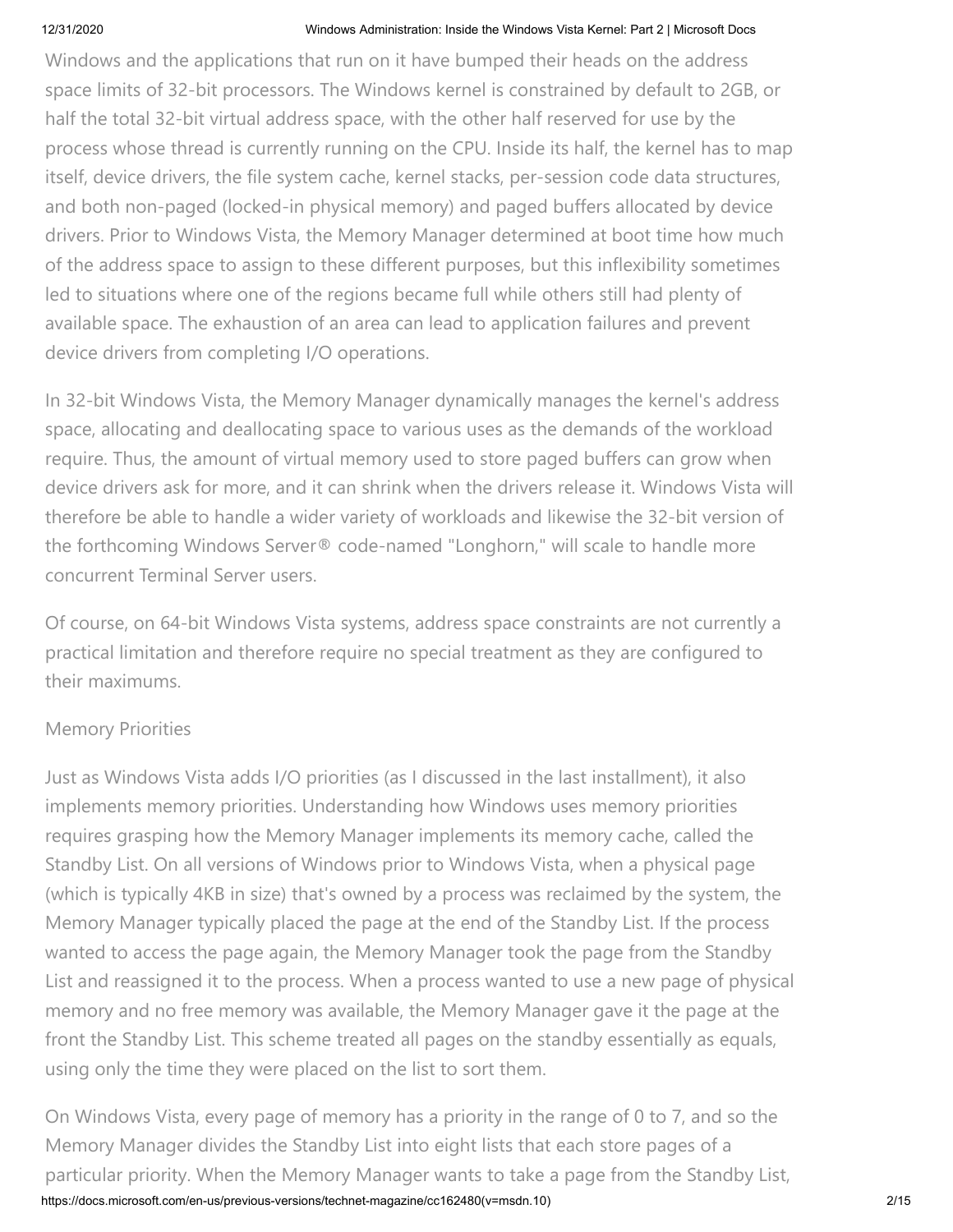Windows and the applications that run on it have bumped their heads on the address space limits of 32-bit processors. The Windows kernel is constrained by default to 2GB, or half the total 32-bit virtual address space, with the other half reserved for use by the process whose thread is currently running on the CPU. Inside its half, the kernel has to map itself, device drivers, the file system cache, kernel stacks, per-session code data structures, and both non-paged (locked-in physical memory) and paged buffers allocated by device drivers. Prior to Windows Vista, the Memory Manager determined at boot time how much of the address space to assign to these different purposes, but this inflexibility sometimes led to situations where one of the regions became full while others still had plenty of available space. The exhaustion of an area can lead to application failures and prevent device drivers from completing I/O operations.

In 32-bit Windows Vista, the Memory Manager dynamically manages the kernel's address space, allocating and deallocating space to various uses as the demands of the workload require. Thus, the amount of virtual memory used to store paged buffers can grow when device drivers ask for more, and it can shrink when the drivers release it. Windows Vista will therefore be able to handle a wider variety of workloads and likewise the 32-bit version of the forthcoming Windows Server® code-named "Longhorn," will scale to handle more concurrent Terminal Server users.

Of course, on 64-bit Windows Vista systems, address space constraints are not currently a practical limitation and therefore require no special treatment as they are configured to their maximums.

## Memory Priorities

Just as Windows Vista adds I/O priorities (as I discussed in the last installment), it also implements memory priorities. Understanding how Windows uses memory priorities requires grasping how the Memory Manager implements its memory cache, called the Standby List. On all versions of Windows prior to Windows Vista, when a physical page (which is typically 4KB in size) that's owned by a process was reclaimed by the system, the Memory Manager typically placed the page at the end of the Standby List. If the process wanted to access the page again, the Memory Manager took the page from the Standby List and reassigned it to the process. When a process wanted to use a new page of physical memory and no free memory was available, the Memory Manager gave it the page at the front the Standby List. This scheme treated all pages on the standby essentially as equals, using only the time they were placed on the list to sort them.

https://docs.microsoft.com/en-us/previous-versions/technet-magazine/cc162480(v=msdn.10) 2/15 On Windows Vista, every page of memory has a priority in the range of 0 to 7, and so the Memory Manager divides the Standby List into eight lists that each store pages of a particular priority. When the Memory Manager wants to take a page from the Standby List,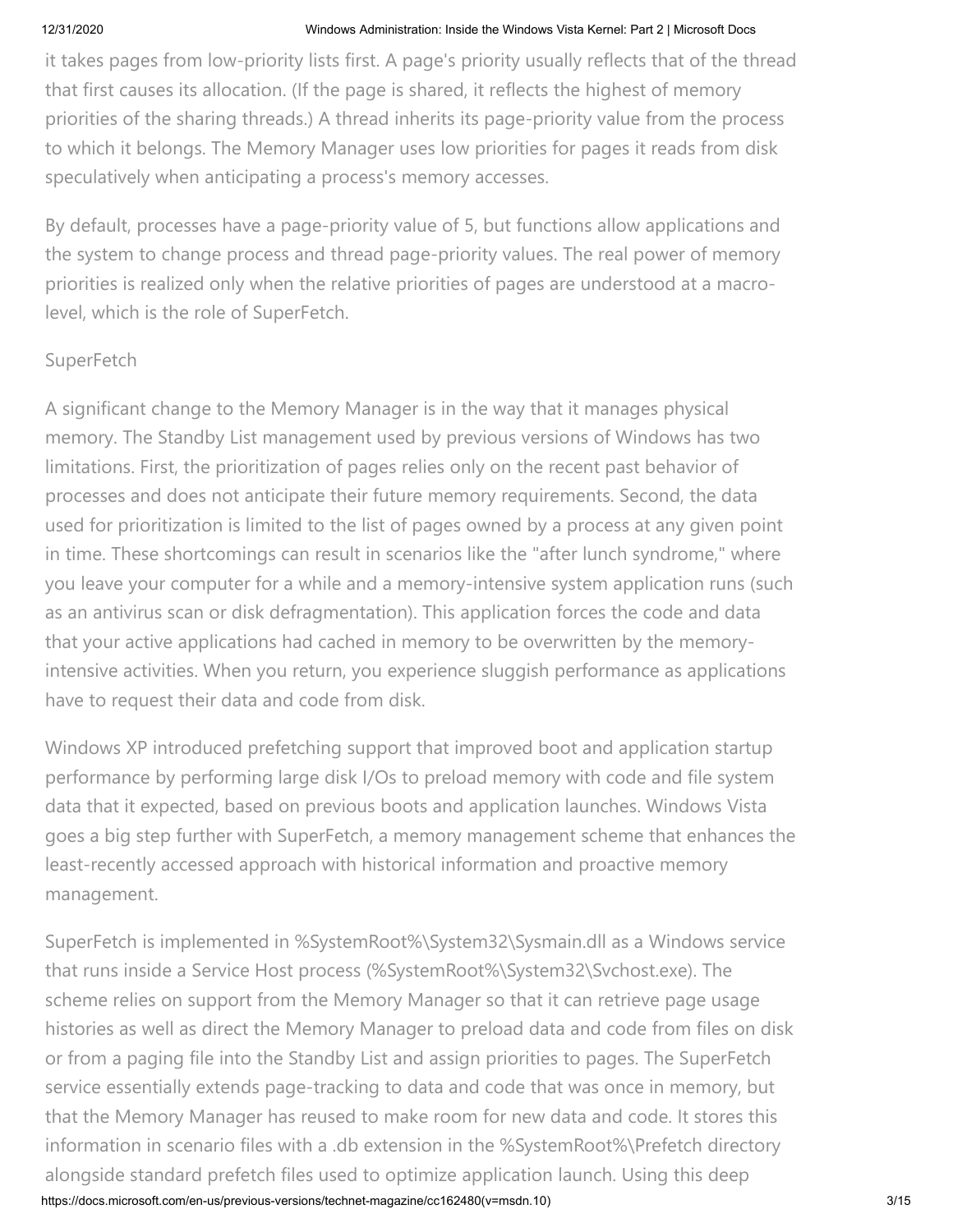it takes pages from low-priority lists first. A page's priority usually reflects that of the thread that first causes its allocation. (If the page is shared, it reflects the highest of memory priorities of the sharing threads.) A thread inherits its page-priority value from the process to which it belongs. The Memory Manager uses low priorities for pages it reads from disk speculatively when anticipating a process's memory accesses.

By default, processes have a page-priority value of 5, but functions allow applications and the system to change process and thread page-priority values. The real power of memory priorities is realized only when the relative priorities of pages are understood at a macrolevel, which is the role of SuperFetch.

## **SuperFetch**

A significant change to the Memory Manager is in the way that it manages physical memory. The Standby List management used by previous versions of Windows has two limitations. First, the prioritization of pages relies only on the recent past behavior of processes and does not anticipate their future memory requirements. Second, the data used for prioritization is limited to the list of pages owned by a process at any given point in time. These shortcomings can result in scenarios like the "after lunch syndrome," where you leave your computer for a while and a memory-intensive system application runs (such as an antivirus scan or disk defragmentation). This application forces the code and data that your active applications had cached in memory to be overwritten by the memoryintensive activities. When you return, you experience sluggish performance as applications have to request their data and code from disk.

Windows XP introduced prefetching support that improved boot and application startup performance by performing large disk I/Os to preload memory with code and file system data that it expected, based on previous boots and application launches. Windows Vista goes a big step further with SuperFetch, a memory management scheme that enhances the least-recently accessed approach with historical information and proactive memory management.

https://docs.microsoft.com/en-us/previous-versions/technet-magazine/cc162480(v=msdn.10) 3/15 SuperFetch is implemented in %SystemRoot%\System32\Sysmain.dll as a Windows service that runs inside a Service Host process (%SystemRoot%\System32\Svchost.exe). The scheme relies on support from the Memory Manager so that it can retrieve page usage histories as well as direct the Memory Manager to preload data and code from files on disk or from a paging file into the Standby List and assign priorities to pages. The SuperFetch service essentially extends page-tracking to data and code that was once in memory, but that the Memory Manager has reused to make room for new data and code. It stores this information in scenario files with a .db extension in the %SystemRoot%\Prefetch directory alongside standard prefetch files used to optimize application launch. Using this deep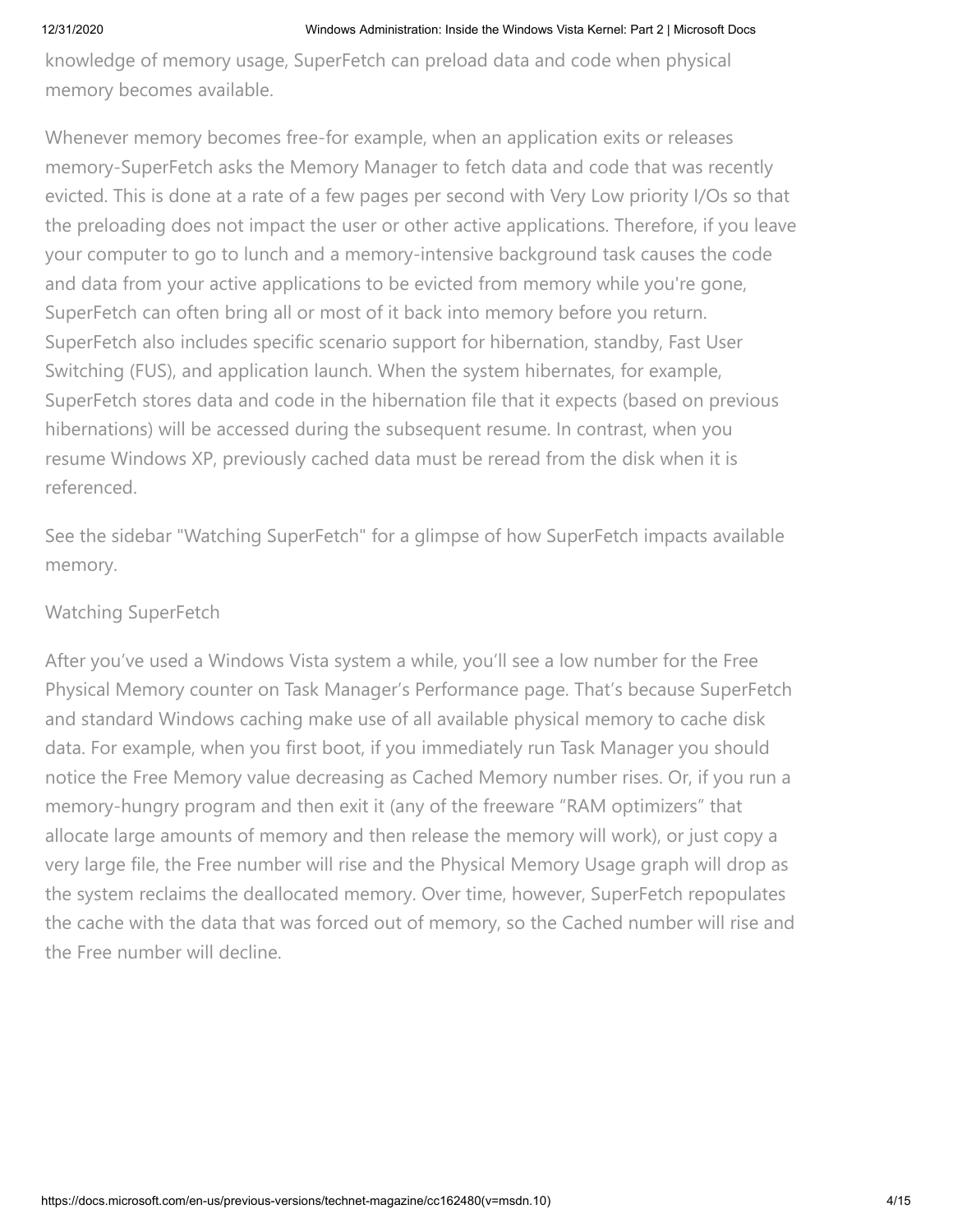knowledge of memory usage, SuperFetch can preload data and code when physical memory becomes available.

Whenever memory becomes free-for example, when an application exits or releases memory-SuperFetch asks the Memory Manager to fetch data and code that was recently evicted. This is done at a rate of a few pages per second with Very Low priority I/Os so that the preloading does not impact the user or other active applications. Therefore, if you leave your computer to go to lunch and a memory-intensive background task causes the code and data from your active applications to be evicted from memory while you're gone, SuperFetch can often bring all or most of it back into memory before you return. SuperFetch also includes specific scenario support for hibernation, standby, Fast User Switching (FUS), and application launch. When the system hibernates, for example, SuperFetch stores data and code in the hibernation file that it expects (based on previous hibernations) will be accessed during the subsequent resume. In contrast, when you resume Windows XP, previously cached data must be reread from the disk when it is referenced.

See the sidebar "Watching SuperFetch" for a glimpse of how SuperFetch impacts available memory.

# Watching SuperFetch

After you've used a Windows Vista system a while, you'll see a low number for the Free Physical Memory counter on Task Manager's Performance page. That's because SuperFetch and standard Windows caching make use of all available physical memory to cache disk data. For example, when you first boot, if you immediately run Task Manager you should notice the Free Memory value decreasing as Cached Memory number rises. Or, if you run a memory-hungry program and then exit it (any of the freeware "RAM optimizers" that allocate large amounts of memory and then release the memory will work), or just copy a very large file, the Free number will rise and the Physical Memory Usage graph will drop as the system reclaims the deallocated memory. Over time, however, SuperFetch repopulates the cache with the data that was forced out of memory, so the Cached number will rise and the Free number will decline.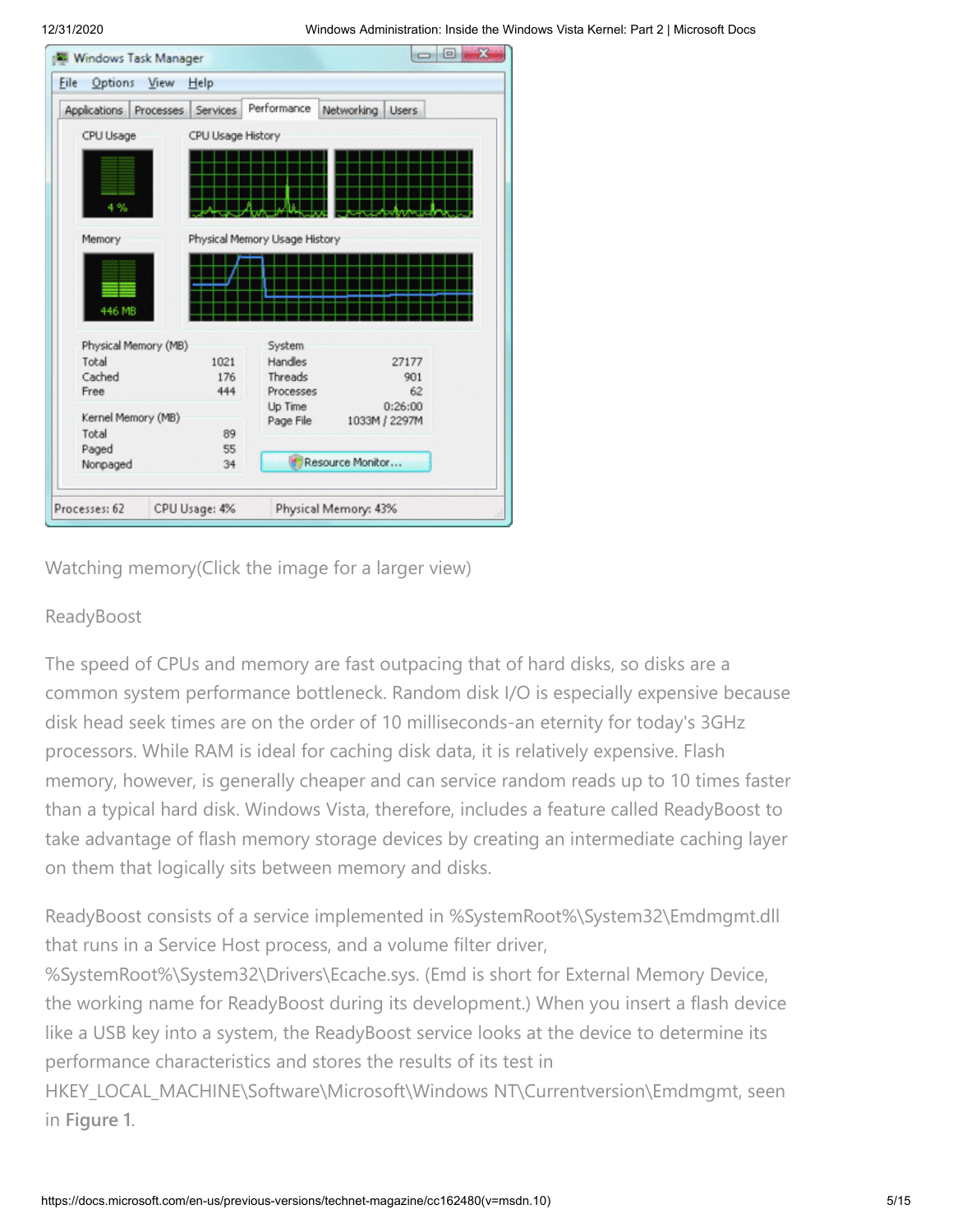|                        | Help              |                               |                  |              |
|------------------------|-------------------|-------------------------------|------------------|--------------|
| Applications Processes | <b>Services</b>   | Performance                   | Networking       | <b>Users</b> |
| CPU Usage              | CPU Usage History |                               |                  |              |
| 4%                     |                   |                               |                  |              |
| Memory                 |                   | Physical Memory Usage History |                  |              |
| 446 MB                 |                   |                               |                  |              |
|                        |                   |                               |                  |              |
| Physical Memory (MB)   |                   | System                        |                  |              |
| Total                  | 1021              | Handles                       |                  | 27177        |
| Cached                 | 176               | Threads                       |                  | 901          |
| Free                   | 444               | Processes                     |                  | 62           |
| Kernel Memory (MB)     |                   | Up Time<br>Page File          | 1033M / 2297M    | 0:26:00      |
| Total                  | 89                |                               |                  |              |
| Paged<br>Nonpaged      | 55<br>34          |                               | Resource Monitor |              |

Watching memory(Click the image for a larger view)

# ReadyBoost

The speed of CPUs and memory are fast outpacing that of hard disks, so disks are a common system performance bottleneck. Random disk I/O is especially expensive because disk head seek times are on the order of 10 milliseconds-an eternity for today's 3GHz processors. While RAM is ideal for caching disk data, it is relatively expensive. Flash memory, however, is generally cheaper and can service random reads up to 10 times faster than a typical hard disk. Windows Vista, therefore, includes a feature called ReadyBoost to take advantage of flash memory storage devices by creating an intermediate caching layer on them that logically sits between memory and disks.

ReadyBoost consists of a service implemented in %SystemRoot%\System32\Emdmgmt.dll that runs in a Service Host process, and a volume filter driver,

%SystemRoot%\System32\Drivers\Ecache.sys. (Emd is short for External Memory Device, the working name for ReadyBoost during its development.) When you insert a flash device like a USB key into a system, the ReadyBoost service looks at the device to determine its performance characteristics and stores the results of its test in

HKEY\_LOCAL\_MACHINE\Software\Microsoft\Windows NT\Currentversion\Emdmgmt, seen in **Figure 1**.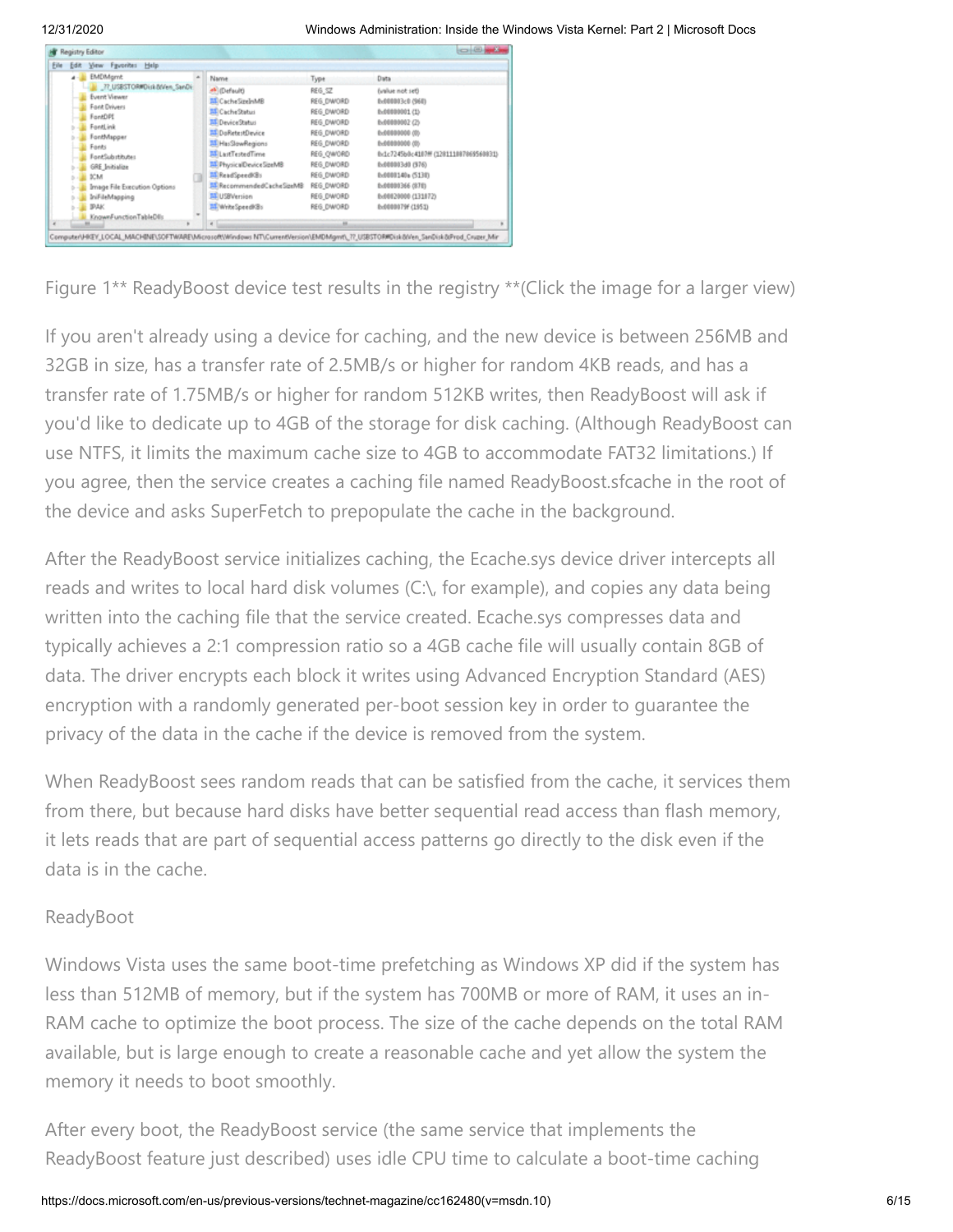| Edit View Fgyorites Help<br>File                                                                                                                                                                                                                                                         |                                                                                                                                                                                                                                                                              |                                                                                                                                                                       |                                                                                                                                                                                                                                                                    |
|------------------------------------------------------------------------------------------------------------------------------------------------------------------------------------------------------------------------------------------------------------------------------------------|------------------------------------------------------------------------------------------------------------------------------------------------------------------------------------------------------------------------------------------------------------------------------|-----------------------------------------------------------------------------------------------------------------------------------------------------------------------|--------------------------------------------------------------------------------------------------------------------------------------------------------------------------------------------------------------------------------------------------------------------|
| <b>EMDMgrnt</b><br>77_USBSTOR#Disk-blVen_SanDi:<br>Event Viewer<br>Font Drivers<br>FontDPI<br>FontLink<br>FontMapper<br>Fonts<br>FontSubstitutes<br><b>GRE</b> Initialize<br><b>DCM</b><br>Image File Execution Options<br><b>InFileMapping</b><br><b>IRAK</b><br>KnownFunctionTableDlls | Name<br>#Fi(Default)<br>MiCacheSzelnMB<br>MI Cache Status<br>MI Device Status<br>MiDoRetestDevice<br>HasSlowRegions<br><b>ALL</b> LastTestedTime<br><b>IF Physical Device SpeMB</b><br>Mi ReadSpeed/Bs<br>RecommendedCacheSpeMB<br>MI USBWersion<br><b>EE</b> /WriteSpeedRBs | Type<br>REG SZ<br>REG_DWORD<br>REG. DWORD<br>REG. DWORD<br>REG. DWORD<br>REG DWORD<br>REG_OWORD<br>REG DWORD<br>REG DWORD<br>REG DWORD<br>REG DWORD<br>REG DWORD<br>m | Data<br>(value not set)<br>0.000003c0 (960)<br>0x00000001 (1)<br>6x00000002(2)<br>0.00000000.00<br>0.00000000.00<br>0x1c7245b0c4107# (128111087869560831)<br>6x000003d0 (976)<br>0x0000140a (5130)<br>0.00000366 (870)<br>0x00020000 (131872)<br>8x0000079f (1951) |

Figure 1\*\* ReadyBoost device test results in the registry \*\*(Click the image for a larger view)

If you aren't already using a device for caching, and the new device is between 256MB and 32GB in size, has a transfer rate of 2.5MB/s or higher for random 4KB reads, and has a transfer rate of 1.75MB/s or higher for random 512KB writes, then ReadyBoost will ask if you'd like to dedicate up to 4GB of the storage for disk caching. (Although ReadyBoost can use NTFS, it limits the maximum cache size to 4GB to accommodate FAT32 limitations.) If you agree, then the service creates a caching file named ReadyBoost.sfcache in the root of the device and asks SuperFetch to prepopulate the cache in the background.

After the ReadyBoost service initializes caching, the Ecache.sys device driver intercepts all reads and writes to local hard disk volumes (C:\, for example), and copies any data being written into the caching file that the service created. Ecache.sys compresses data and typically achieves a 2:1 compression ratio so a 4GB cache file will usually contain 8GB of data. The driver encrypts each block it writes using Advanced Encryption Standard (AES) encryption with a randomly generated per-boot session key in order to guarantee the privacy of the data in the cache if the device is removed from the system.

When ReadyBoost sees random reads that can be satisfied from the cache, it services them from there, but because hard disks have better sequential read access than flash memory, it lets reads that are part of sequential access patterns go directly to the disk even if the data is in the cache.

# ReadyBoot

Windows Vista uses the same boot-time prefetching as Windows XP did if the system has less than 512MB of memory, but if the system has 700MB or more of RAM, it uses an in-RAM cache to optimize the boot process. The size of the cache depends on the total RAM available, but is large enough to create a reasonable cache and yet allow the system the memory it needs to boot smoothly.

After every boot, the ReadyBoost service (the same service that implements the ReadyBoost feature just described) uses idle CPU time to calculate a boot-time caching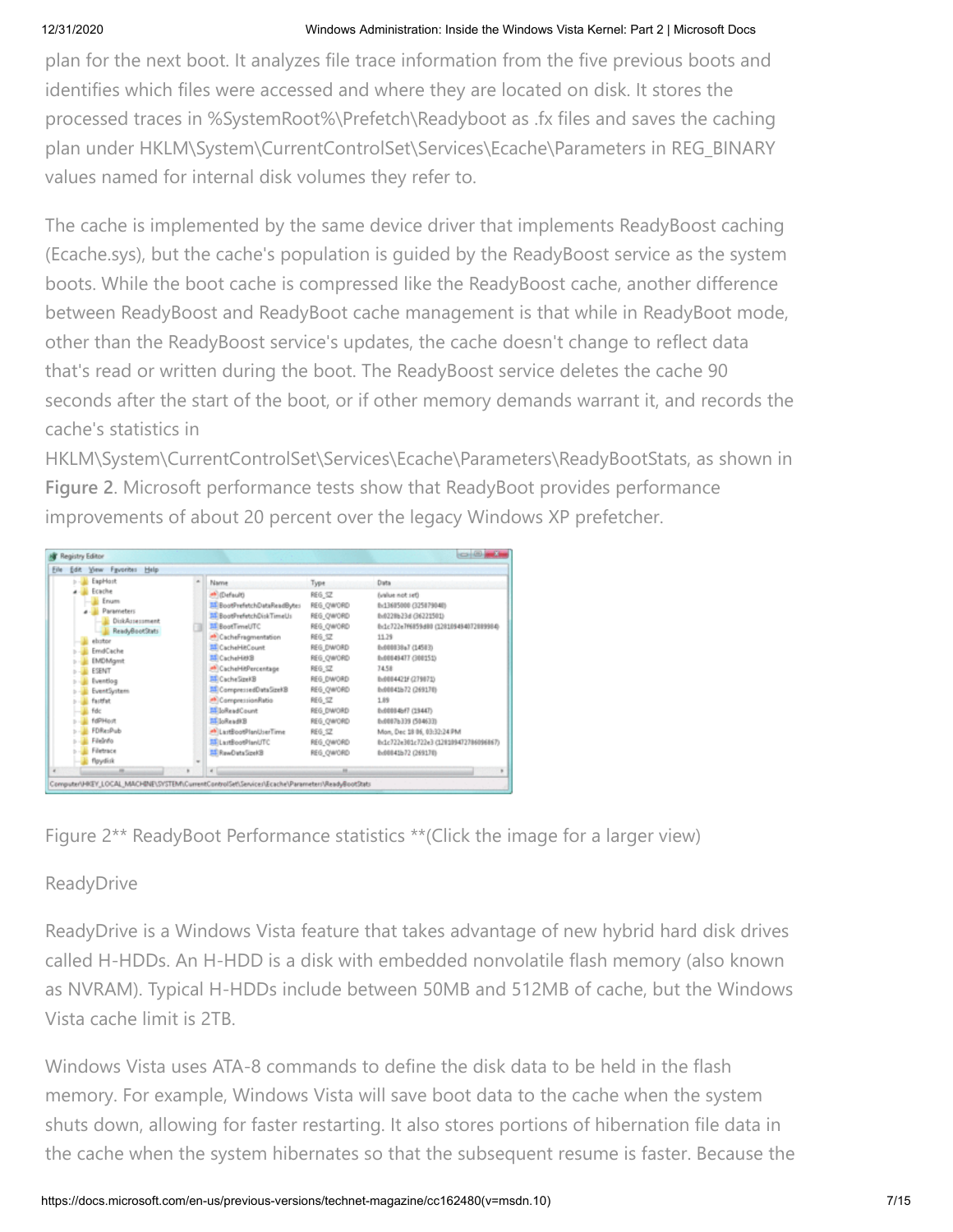plan for the next boot. It analyzes file trace information from the five previous boots and identifies which files were accessed and where they are located on disk. It stores the processed traces in %SystemRoot%\Prefetch\Readyboot as .fx files and saves the caching plan under HKLM\System\CurrentControlSet\Services\Ecache\Parameters in REG\_BINARY values named for internal disk volumes they refer to.

The cache is implemented by the same device driver that implements ReadyBoost caching (Ecache.sys), but the cache's population is guided by the ReadyBoost service as the system boots. While the boot cache is compressed like the ReadyBoost cache, another difference between ReadyBoost and ReadyBoot cache management is that while in ReadyBoot mode, other than the ReadyBoost service's updates, the cache doesn't change to reflect data that's read or written during the boot. The ReadyBoost service deletes the cache 90 seconds after the start of the boot, or if other memory demands warrant it, and records the cache's statistics in

HKLM\System\CurrentControlSet\Services\Ecache\Parameters\ReadyBootStats, as shown in **Figure 2**. Microsoft performance tests show that ReadyBoot provides performance improvements of about 20 percent over the legacy Windows XP prefetcher.

| Edit View Fgyorites Help<br>File                                                                                                                                                                                                           |                                                                                                                                                                                                                                                                                                                                                                                              |                                                                                                                                                                                                                      |                                                                                                                                                                                                                                                                                                                                                                                        |
|--------------------------------------------------------------------------------------------------------------------------------------------------------------------------------------------------------------------------------------------|----------------------------------------------------------------------------------------------------------------------------------------------------------------------------------------------------------------------------------------------------------------------------------------------------------------------------------------------------------------------------------------------|----------------------------------------------------------------------------------------------------------------------------------------------------------------------------------------------------------------------|----------------------------------------------------------------------------------------------------------------------------------------------------------------------------------------------------------------------------------------------------------------------------------------------------------------------------------------------------------------------------------------|
| EapHost<br>Ecache<br>Enum<br><b>Parameters</b><br>DiskAssessment<br>ReadyBootStats<br>ebutor<br>EmdCache<br><b>EMDMgmt</b><br>ESEMIT<br>Eventlog<br>EventSystem<br>factfat<br><b>Fdc</b><br>fdPHost<br>FDResPub<br>Filedrifo<br>Filietrace | Name<br><b>Mil (Default)</b><br>Bill BootPrefetchDataReadBytes<br>Al BootPrefetchDiskTimeUs<br><b>MI BootTimeUTC</b><br><sup>#8</sup> CacheFragmentation<br>MICacheHitCount<br>関CacheHitt®<br>A CacheHitPercentage<br>MD CacheSzekB<br>Ell CompressedDataSzeKB<br>A CompressionRatio<br>MiloReadCount<br>Sibead(20<br># LastBootPlanUserTime<br><b>MELartBootPlanUTC</b><br>ST RewDutsSizeRB | Type<br>REG_SZ<br>REG_QW/ORD<br>REG_QW/ORD<br>REG_OWORD<br>REG 5Z<br>REG DWORD<br>REG_OW/ORD<br>REG 5Z<br>REG DWORD<br>REG_OW/ORD<br><b>REG SZ</b><br>REG DWORD<br>REG. OW/ORD<br>REG SZ<br>REG. OW/ORD<br>REG OWORD | Data<br>(value not set)<br>0x13605000 (325079040)<br>8x0228b23d (36221501)<br>0x1c722e7f6859d80 (128109494072889984)<br>11.79<br>0x000038a7 (14503)<br>8x00049477 (300151)<br>74.58<br>8x0004421F (279071)<br>b:00041b72 (269170)<br>1.89<br>8x00084xf7 (1944T)<br>8x0007b339 (504633)<br>Mon, Dec 18 86, 03:32:24 PM<br>0x1c722e301c722e3 (128109472786096867)<br>8x00041b72 (269170) |
| flgydisk                                                                                                                                                                                                                                   |                                                                                                                                                                                                                                                                                                                                                                                              |                                                                                                                                                                                                                      |                                                                                                                                                                                                                                                                                                                                                                                        |

Figure 2\*\* ReadyBoot Performance statistics \*\*(Click the image for a larger view)

# ReadyDrive

ReadyDrive is a Windows Vista feature that takes advantage of new hybrid hard disk drives called H-HDDs. An H-HDD is a disk with embedded nonvolatile flash memory (also known as NVRAM). Typical H-HDDs include between 50MB and 512MB of cache, but the Windows Vista cache limit is 2TB.

Windows Vista uses ATA-8 commands to define the disk data to be held in the flash memory. For example, Windows Vista will save boot data to the cache when the system shuts down, allowing for faster restarting. It also stores portions of hibernation file data in the cache when the system hibernates so that the subsequent resume is faster. Because the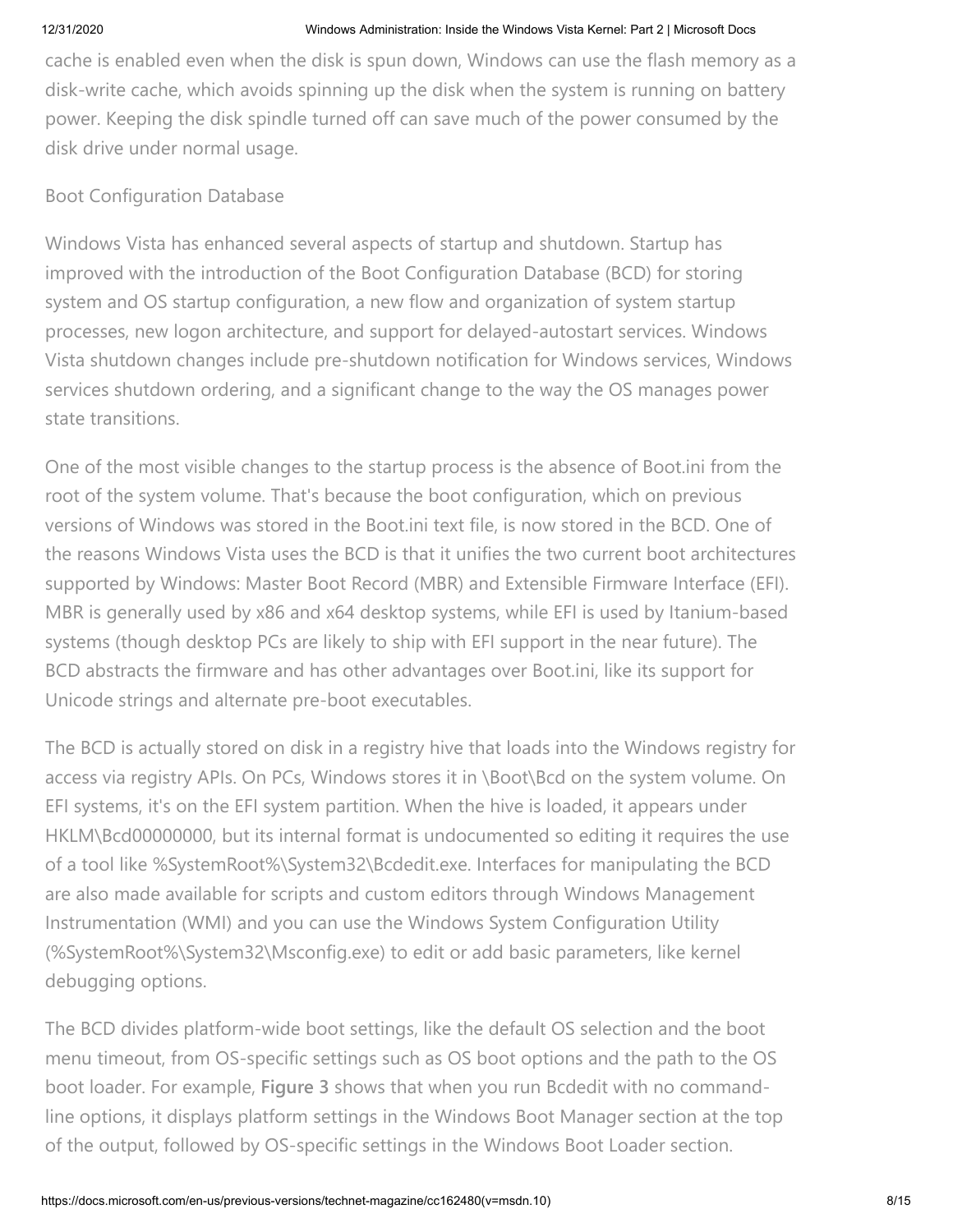cache is enabled even when the disk is spun down, Windows can use the flash memory as a disk-write cache, which avoids spinning up the disk when the system is running on battery power. Keeping the disk spindle turned off can save much of the power consumed by the disk drive under normal usage.

## Boot Configuration Database

Windows Vista has enhanced several aspects of startup and shutdown. Startup has improved with the introduction of the Boot Configuration Database (BCD) for storing system and OS startup configuration, a new flow and organization of system startup processes, new logon architecture, and support for delayed-autostart services. Windows Vista shutdown changes include pre-shutdown notification for Windows services, Windows services shutdown ordering, and a significant change to the way the OS manages power state transitions.

One of the most visible changes to the startup process is the absence of Boot.ini from the root of the system volume. That's because the boot configuration, which on previous versions of Windows was stored in the Boot.ini text file, is now stored in the BCD. One of the reasons Windows Vista uses the BCD is that it unifies the two current boot architectures supported by Windows: Master Boot Record (MBR) and Extensible Firmware Interface (EFI). MBR is generally used by x86 and x64 desktop systems, while EFI is used by Itanium-based systems (though desktop PCs are likely to ship with EFI support in the near future). The BCD abstracts the firmware and has other advantages over Boot.ini, like its support for Unicode strings and alternate pre-boot executables.

The BCD is actually stored on disk in a registry hive that loads into the Windows registry for access via registry APIs. On PCs, Windows stores it in \Boot\Bcd on the system volume. On EFI systems, it's on the EFI system partition. When the hive is loaded, it appears under HKLM\Bcd00000000, but its internal format is undocumented so editing it requires the use of a tool like %SystemRoot%\System32\Bcdedit.exe. Interfaces for manipulating the BCD are also made available for scripts and custom editors through Windows Management Instrumentation (WMI) and you can use the Windows System Configuration Utility (%SystemRoot%\System32\Msconfig.exe) to edit or add basic parameters, like kernel debugging options.

The BCD divides platform-wide boot settings, like the default OS selection and the boot menu timeout, from OS-specific settings such as OS boot options and the path to the OS boot loader. For example, **Figure 3** shows that when you run Bcdedit with no commandline options, it displays platform settings in the Windows Boot Manager section at the top of the output, followed by OS-specific settings in the Windows Boot Loader section.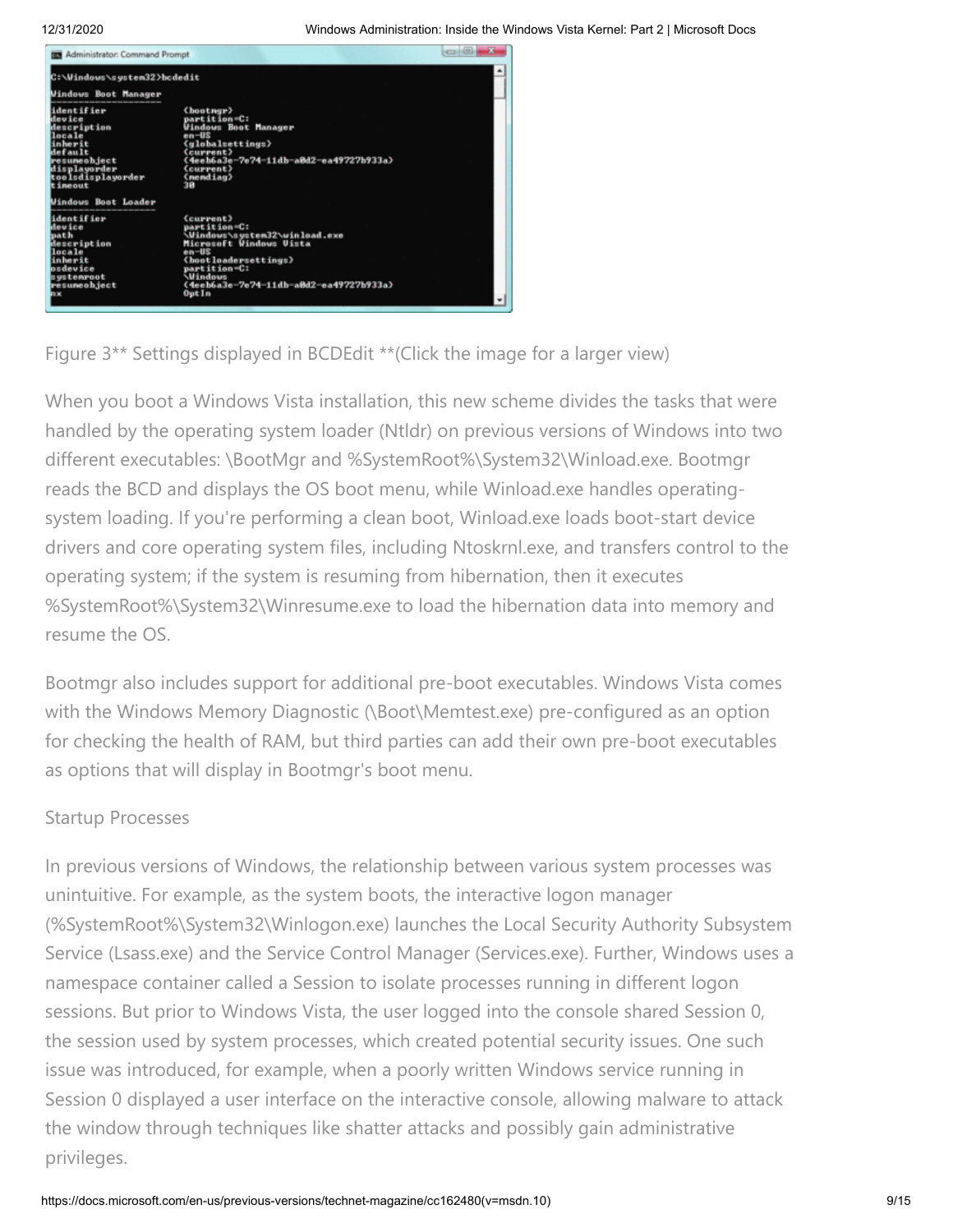

Figure 3\*\* Settings displayed in BCDEdit \*\*(Click the image for a larger view)

When you boot a Windows Vista installation, this new scheme divides the tasks that were handled by the operating system loader (Ntldr) on previous versions of Windows into two different executables: \BootMgr and %SystemRoot%\System32\Winload.exe. Bootmgr reads the BCD and displays the OS boot menu, while Winload.exe handles operatingsystem loading. If you're performing a clean boot, Winload.exe loads boot-start device drivers and core operating system files, including Ntoskrnl.exe, and transfers control to the operating system; if the system is resuming from hibernation, then it executes %SystemRoot%\System32\Winresume.exe to load the hibernation data into memory and resume the OS.

Bootmgr also includes support for additional pre-boot executables. Windows Vista comes with the Windows Memory Diagnostic (\Boot\Memtest.exe) pre-configured as an option for checking the health of RAM, but third parties can add their own pre-boot executables as options that will display in Bootmgr's boot menu.

# Startup Processes

In previous versions of Windows, the relationship between various system processes was unintuitive. For example, as the system boots, the interactive logon manager (%SystemRoot%\System32\Winlogon.exe) launches the Local Security Authority Subsystem Service (Lsass.exe) and the Service Control Manager (Services.exe). Further, Windows uses a namespace container called a Session to isolate processes running in different logon sessions. But prior to Windows Vista, the user logged into the console shared Session 0, the session used by system processes, which created potential security issues. One such issue was introduced, for example, when a poorly written Windows service running in Session 0 displayed a user interface on the interactive console, allowing malware to attack the window through techniques like shatter attacks and possibly gain administrative privileges.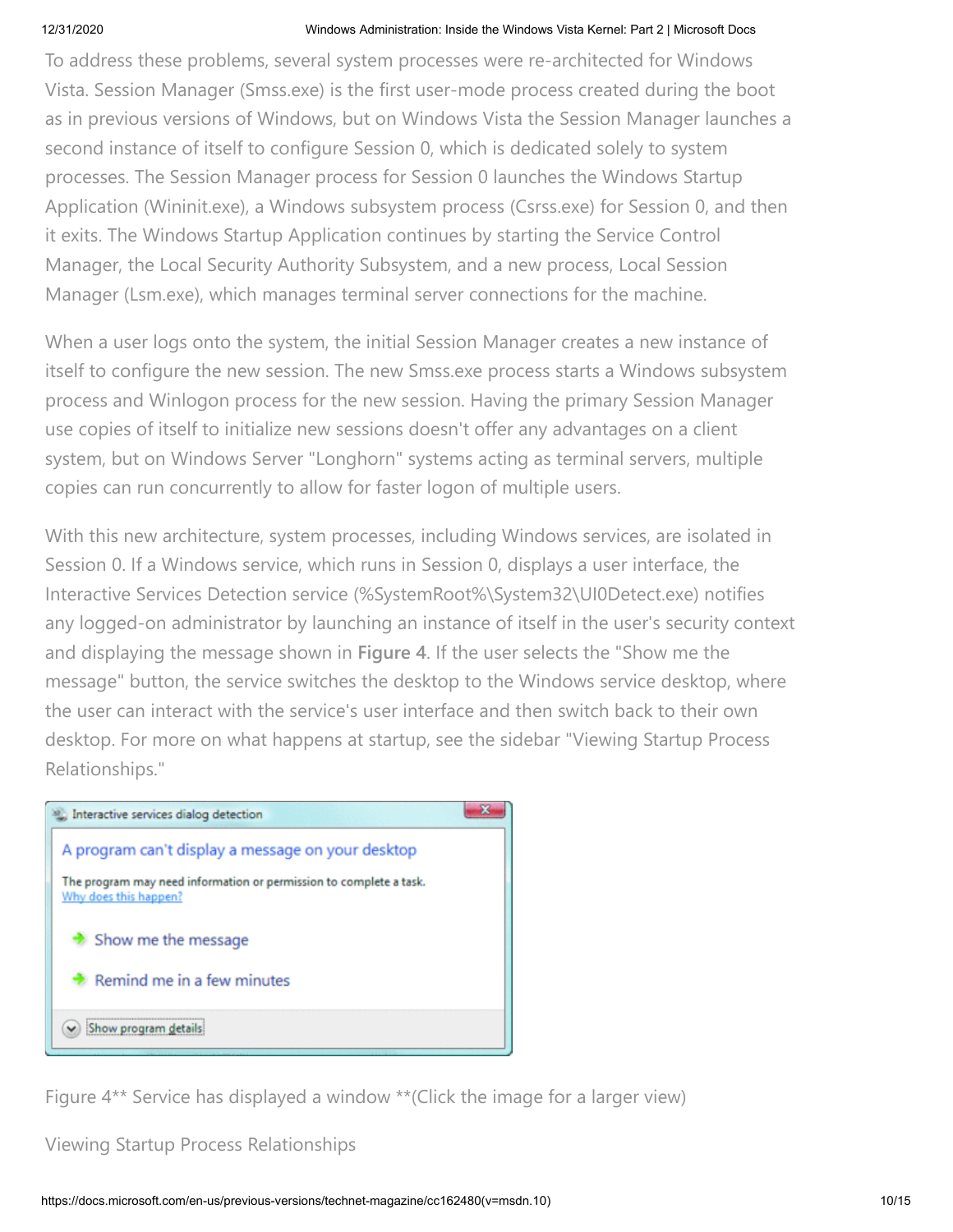To address these problems, several system processes were re-architected for Windows Vista. Session Manager (Smss.exe) is the first user-mode process created during the boot as in previous versions of Windows, but on Windows Vista the Session Manager launches a second instance of itself to configure Session 0, which is dedicated solely to system processes. The Session Manager process for Session 0 launches the Windows Startup Application (Wininit.exe), a Windows subsystem process (Csrss.exe) for Session 0, and then it exits. The Windows Startup Application continues by starting the Service Control Manager, the Local Security Authority Subsystem, and a new process, Local Session Manager (Lsm.exe), which manages terminal server connections for the machine.

When a user logs onto the system, the initial Session Manager creates a new instance of itself to configure the new session. The new Smss.exe process starts a Windows subsystem process and Winlogon process for the new session. Having the primary Session Manager use copies of itself to initialize new sessions doesn't offer any advantages on a client system, but on Windows Server "Longhorn" systems acting as terminal servers, multiple copies can run concurrently to allow for faster logon of multiple users.

With this new architecture, system processes, including Windows services, are isolated in Session 0. If a Windows service, which runs in Session 0, displays a user interface, the Interactive Services Detection service (%SystemRoot%\System32\UI0Detect.exe) notifies any logged-on administrator by launching an instance of itself in the user's security context and displaying the message shown in **Figure 4**. If the user selects the "Show me the message" button, the service switches the desktop to the Windows service desktop, where the user can interact with the service's user interface and then switch back to their own desktop. For more on what happens at startup, see the sidebar "Viewing Startup Process Relationships."



Figure 4\*\* Service has displayed a window \*\*(Click the image for a larger view)

Viewing Startup Process Relationships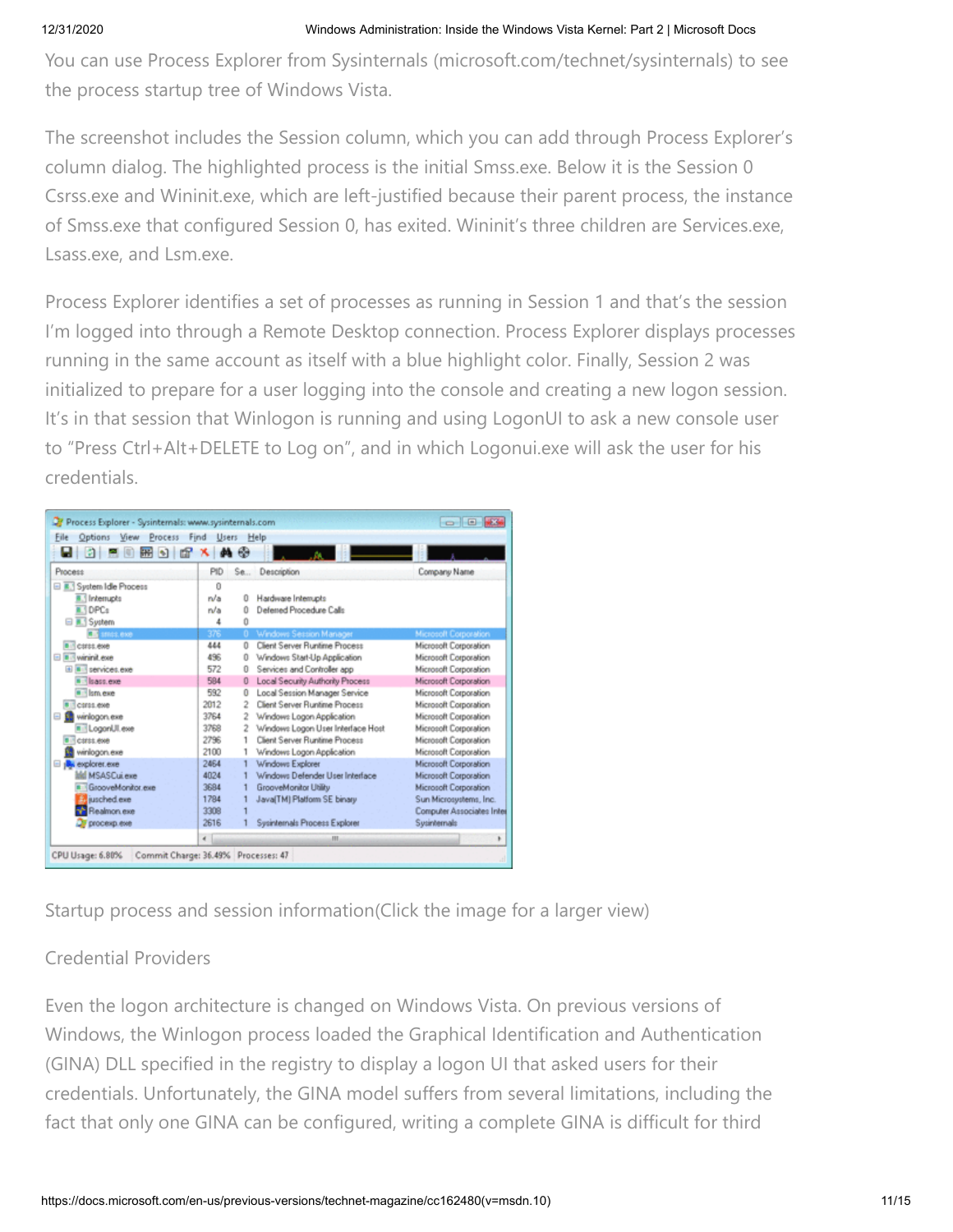You can use Process Explorer from Sysinternals (microsoft.com/technet/sysinternals) to see the process startup tree of Windows Vista.

The screenshot includes the Session column, which you can add through Process Explorer's column dialog. The highlighted process is the initial Smss.exe. Below it is the Session 0 Csrss.exe and Wininit.exe, which are left-justified because their parent process, the instance of Smss.exe that configured Session 0, has exited. Wininit's three children are Services.exe, Lsass.exe, and Lsm.exe.

Process Explorer identifies a set of processes as running in Session 1 and that's the session I'm logged into through a Remote Desktop connection. Process Explorer displays processes running in the same account as itself with a blue highlight color. Finally, Session 2 was initialized to prepare for a user logging into the console and creating a new logon session. It's in that session that Winlogon is running and using LogonUI to ask a new console user to "Press Ctrl+Alt+DELETE to Log on", and in which Logonui.exe will ask the user for his credentials.

| Process Explorer - Sysinternals: www.sysinternals.com        |                             |                |                                   | $-10$ $-2$                |  |  |
|--------------------------------------------------------------|-----------------------------|----------------|-----------------------------------|---------------------------|--|--|
| Options View Process<br>Find<br>File<br><b>Users</b><br>Help |                             |                |                                   |                           |  |  |
| u 950896                                                     | <b>dilet</b><br>$\mathbf x$ | $\bullet$      |                                   |                           |  |  |
| Process                                                      | PID                         | $S_{0}$        | Description                       | Company Name              |  |  |
| <b>B.</b> System Idle Process                                | 0                           |                |                                   |                           |  |  |
| <b>B.1</b> Interrupts                                        | n/a                         | 0              | Hardware Interrupts               |                           |  |  |
| 1DPCs                                                        | n/a                         | n              | Deferred Procedure Calls          |                           |  |  |
| <b>⊟</b> R. System                                           | 4                           | n              |                                   |                           |  |  |
| <b>TA</b> smos.exe                                           | 376                         | 0.             | Windows Session Manager           | Microsoft Corporation     |  |  |
| a Carss.exe                                                  | 444                         | o              | Client Server Runtime Process     | Microsoft Corporation     |  |  |
| <b>El Bis wininit exe</b>                                    | 496                         | n              | Windows Start-Up Application      | Microsoft Corporation     |  |  |
| iii iii services exe                                         | 572                         | 0              | Services and Controller app       | Microsoft Corporation     |  |  |
| lsass.exe                                                    | 584                         | 0              | Local Security Authority Process  | Microsoft Corporation     |  |  |
| a lism exe                                                   | 592                         | o              | Local Session Manager Service     | Microsoft Corporation     |  |  |
| T carss exe                                                  | 2012                        | $\overline{2}$ | Client Server Runtime Process     | Microsoft Corporation     |  |  |
| winlogon.exe<br>日鶴                                           | 3764                        | 2              | Windows Logon Application         | Microsoft Corporation     |  |  |
| <b>IT: LogonUl.exe</b>                                       | 3768                        | 2              | Windows Logon User Interface Host | Microsoft Corporation     |  |  |
| <b>CIFEE RNB</b>                                             | 2796                        |                | Client Server Runtime Process     | Microsoft Corporation     |  |  |
| winlogon.exe                                                 | 2100                        |                | Windows Logon Application         | Microsoft Corporation     |  |  |
| <b>A</b> explorer.exe<br>$\Box$                              | 2464                        |                | Windows Explorer                  | Microsoft Corporation     |  |  |
| <b>Md MSASCui exe</b>                                        | 4024                        |                | Windows Defender User Interface   | Microsoft Corporation     |  |  |
| GrooveMonitor.exe                                            | 3684                        |                | GrooveMonitor Utility             | Microsoft Corporation     |  |  |
| Bill jusched.exe                                             | 1784                        |                | Java(TM) Platform SE binary       | Sun Microsystems, Inc.    |  |  |
| Realmon.exe                                                  | 3308                        |                |                                   | Computer Associates Inter |  |  |
| <b>OF procesp.exe</b>                                        | 2616                        |                | Sysinternals Process Explorer     | Sysintemals               |  |  |
|                                                              | $\epsilon$                  |                | $_{\rm III}$                      | ۱                         |  |  |
| Commit Charge: 36.49% Processes: 47<br>CPU Usage: 6.80%      |                             |                |                                   |                           |  |  |

Startup process and session information(Click the image for a larger view)

# Credential Providers

Even the logon architecture is changed on Windows Vista. On previous versions of Windows, the Winlogon process loaded the Graphical Identification and Authentication (GINA) DLL specified in the registry to display a logon UI that asked users for their credentials. Unfortunately, the GINA model suffers from several limitations, including the fact that only one GINA can be configured, writing a complete GINA is difficult for third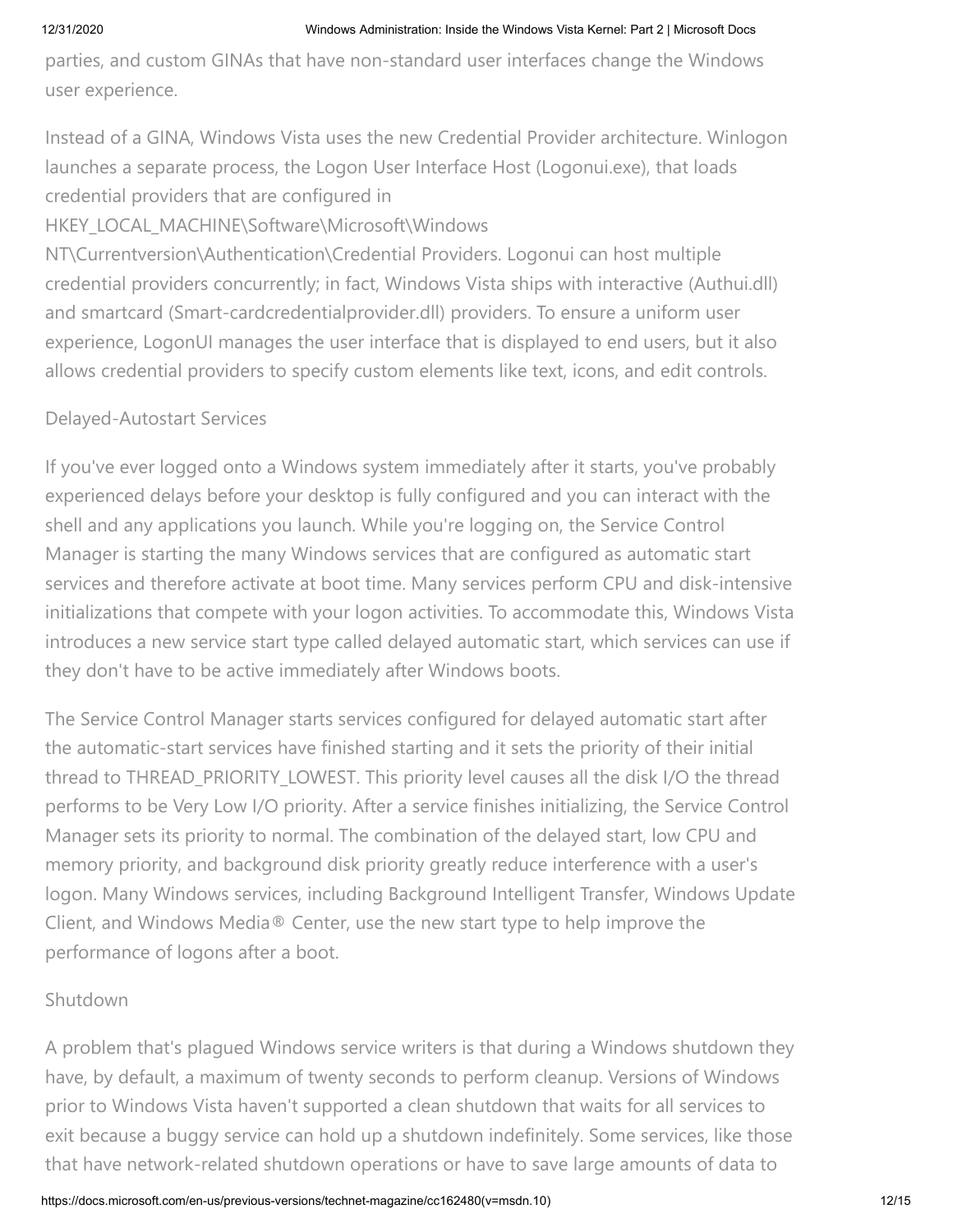parties, and custom GINAs that have non-standard user interfaces change the Windows user experience.

Instead of a GINA, Windows Vista uses the new Credential Provider architecture. Winlogon launches a separate process, the Logon User Interface Host (Logonui.exe), that loads credential providers that are configured in

HKEY\_LOCAL\_MACHINE\Software\Microsoft\Windows

NT\Currentversion\Authentication\Credential Providers. Logonui can host multiple credential providers concurrently; in fact, Windows Vista ships with interactive (Authui.dll) and smartcard (Smart-cardcredentialprovider.dll) providers. To ensure a uniform user experience, LogonUI manages the user interface that is displayed to end users, but it also allows credential providers to specify custom elements like text, icons, and edit controls.

# Delayed-Autostart Services

If you've ever logged onto a Windows system immediately after it starts, you've probably experienced delays before your desktop is fully configured and you can interact with the shell and any applications you launch. While you're logging on, the Service Control Manager is starting the many Windows services that are configured as automatic start services and therefore activate at boot time. Many services perform CPU and disk-intensive initializations that compete with your logon activities. To accommodate this, Windows Vista introduces a new service start type called delayed automatic start, which services can use if they don't have to be active immediately after Windows boots.

The Service Control Manager starts services configured for delayed automatic start after the automatic-start services have finished starting and it sets the priority of their initial thread to THREAD\_PRIORITY\_LOWEST. This priority level causes all the disk I/O the thread performs to be Very Low I/O priority. After a service finishes initializing, the Service Control Manager sets its priority to normal. The combination of the delayed start, low CPU and memory priority, and background disk priority greatly reduce interference with a user's logon. Many Windows services, including Background Intelligent Transfer, Windows Update Client, and Windows Media® Center, use the new start type to help improve the performance of logons after a boot.

# Shutdown

A problem that's plagued Windows service writers is that during a Windows shutdown they have, by default, a maximum of twenty seconds to perform cleanup. Versions of Windows prior to Windows Vista haven't supported a clean shutdown that waits for all services to exit because a buggy service can hold up a shutdown indefinitely. Some services, like those that have network-related shutdown operations or have to save large amounts of data to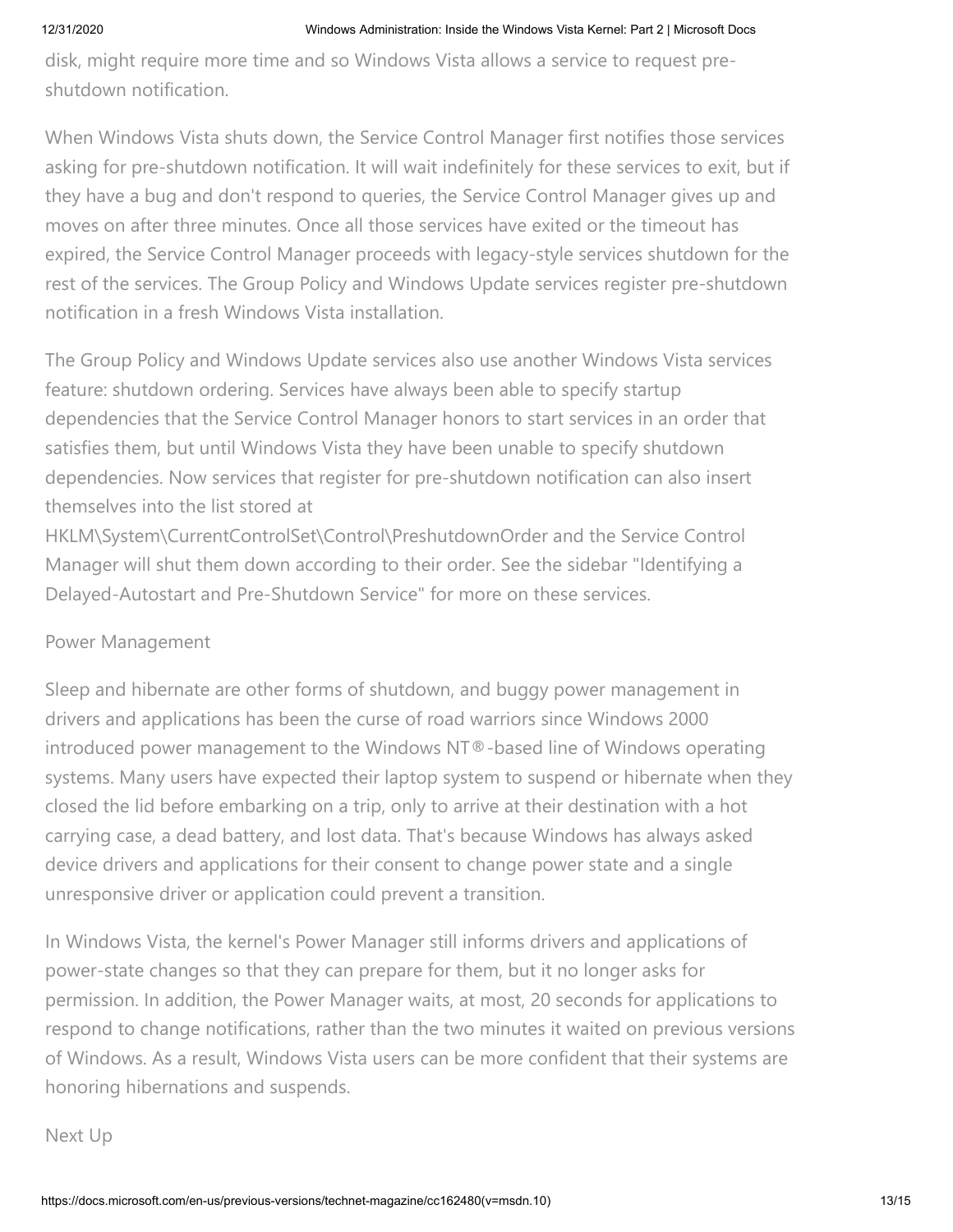disk, might require more time and so Windows Vista allows a service to request preshutdown notification.

When Windows Vista shuts down, the Service Control Manager first notifies those services asking for pre-shutdown notification. It will wait indefinitely for these services to exit, but if they have a bug and don't respond to queries, the Service Control Manager gives up and moves on after three minutes. Once all those services have exited or the timeout has expired, the Service Control Manager proceeds with legacy-style services shutdown for the rest of the services. The Group Policy and Windows Update services register pre-shutdown notification in a fresh Windows Vista installation.

The Group Policy and Windows Update services also use another Windows Vista services feature: shutdown ordering. Services have always been able to specify startup dependencies that the Service Control Manager honors to start services in an order that satisfies them, but until Windows Vista they have been unable to specify shutdown dependencies. Now services that register for pre-shutdown notification can also insert themselves into the list stored at

HKLM\System\CurrentControlSet\Control\PreshutdownOrder and the Service Control Manager will shut them down according to their order. See the sidebar "Identifying a Delayed-Autostart and Pre-Shutdown Service" for more on these services.

# Power Management

Sleep and hibernate are other forms of shutdown, and buggy power management in drivers and applications has been the curse of road warriors since Windows 2000 introduced power management to the Windows NT®-based line of Windows operating systems. Many users have expected their laptop system to suspend or hibernate when they closed the lid before embarking on a trip, only to arrive at their destination with a hot carrying case, a dead battery, and lost data. That's because Windows has always asked device drivers and applications for their consent to change power state and a single unresponsive driver or application could prevent a transition.

In Windows Vista, the kernel's Power Manager still informs drivers and applications of power-state changes so that they can prepare for them, but it no longer asks for permission. In addition, the Power Manager waits, at most, 20 seconds for applications to respond to change notifications, rather than the two minutes it waited on previous versions of Windows. As a result, Windows Vista users can be more confident that their systems are honoring hibernations and suspends.

Next Up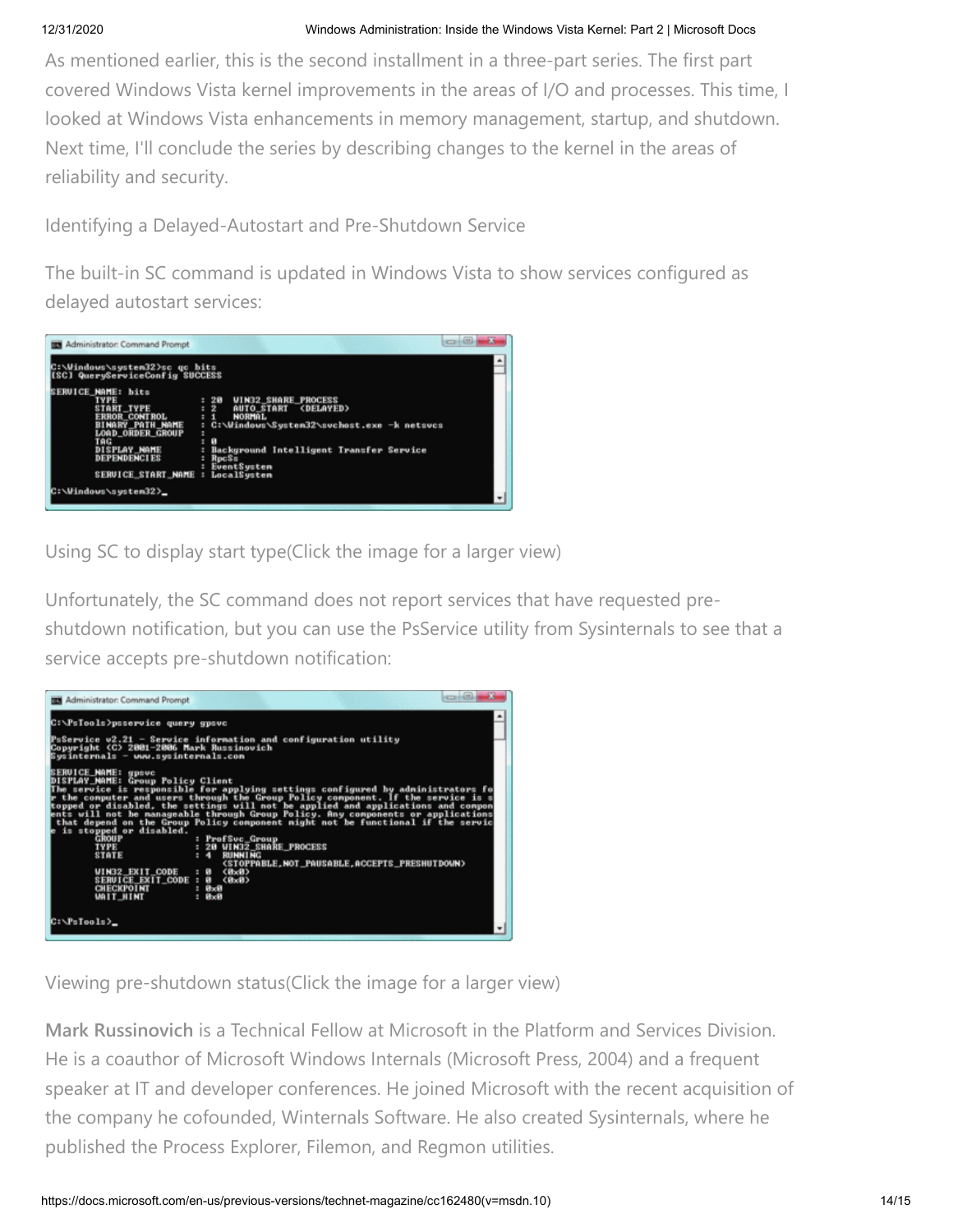As mentioned earlier, this is the second installment in a three-part series. The first part covered Windows Vista kernel improvements in the areas of I/O and processes. This time, I looked at Windows Vista enhancements in memory management, startup, and shutdown. Next time, I'll conclude the series by describing changes to the kernel in the areas of reliability and security.

Identifying a Delayed-Autostart and Pre-Shutdown Service

The built-in SC command is updated in Windows Vista to show services configured as delayed autostart services:



Using SC to display start type(Click the image for a larger view)

Unfortunately, the SC command does not report services that have requested preshutdown notification, but you can use the PsService utility from Sysinternals to see that a service accepts pre-shutdown notification:



Viewing pre-shutdown status(Click the image for a larger view)

**Mark Russinovich** is a Technical Fellow at Microsoft in the Platform and Services Division. He is a coauthor of Microsoft Windows Internals (Microsoft Press, 2004) and a frequent speaker at IT and developer conferences. He joined Microsoft with the recent acquisition of the company he cofounded, Winternals Software. He also created Sysinternals, where he published the Process Explorer, Filemon, and Regmon utilities.